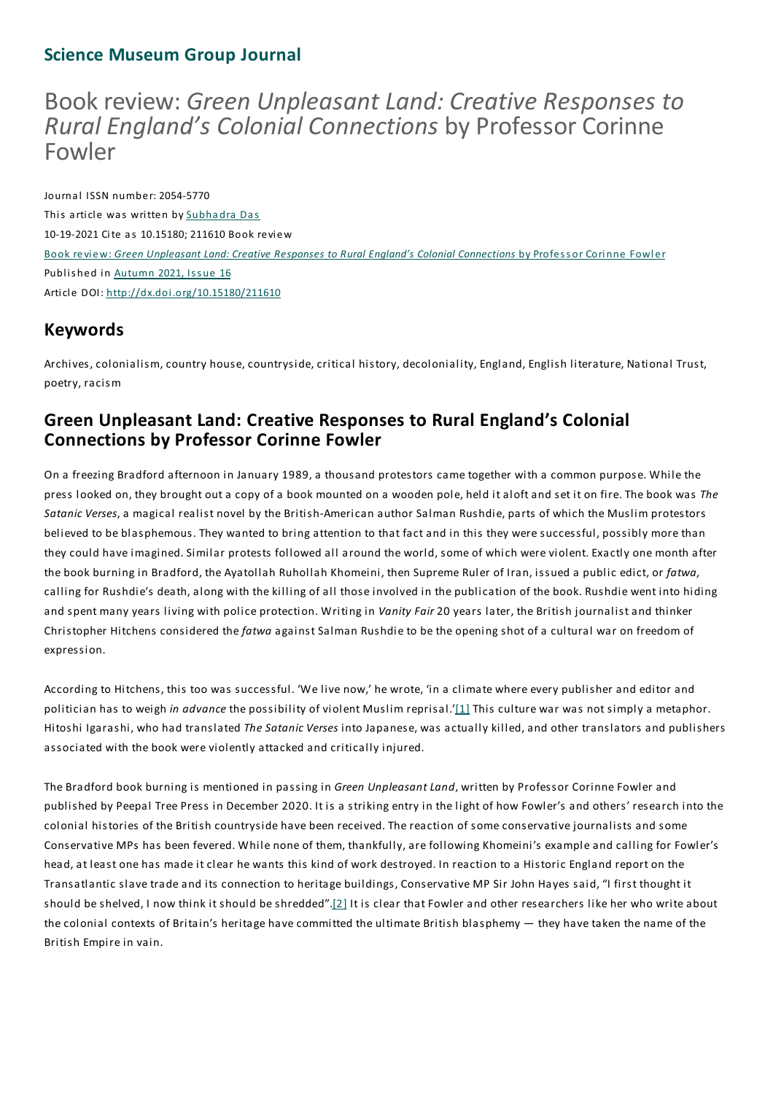### **Science Museum Group Journal**

# Bookreview: *Green Unpleasant Land: Creative Responses to RuralEngland's Colonial Connections* by Professor Corinne Fowler

Journal ISSN number: 2054-5770 This article was written by Subha dra Das 10-19-2021 Cite as 10.15180; 211610 Book review Book review: *Green Unpleasant Land: Creative Responses to Rural England's Colonial Connections* by Profess or Corinne Fowler Published in Autumn 2021, Issue 16 Article DOI: http://dx.doi.org/10.15180/211610

### **Keywords**

Archives, colonialism, country house, countryside, critical history, decoloniality, England, English literature, National Trust, poetry, racism

### **Green Unpleasant Land: Creative Responses to Rural England's Colonial Connections by Professor Corinne Fowler**

On a freezing Bradford afternoon in January 1989, a thousand protestors came together with a common purpose. While the press looked on, they brought out a copy of a book mounted on a wooden pole, held it aloft and set it on fire.The book was *The Satanic Verses*, a magical realist novel by the British-American author Salman Rushdie, parts of which the Muslim protestors believed to be blasphemous.They wanted to bring attention to that fact and in this they were successful, possibly more than they could have imagined. Similar protests followed all around the world, some of which were violent. Exactly one month after the book burning in Bradford, the Ayatollah Ruhollah Khomeini, then Supreme Ruler of Iran, issued a public edict, or *fatwa,* calling for Rushdie's death, along with the killing of all those involved in the publication of the book. Rushdie went into hiding and spent many years living with police protection. Writing in *Vanity Fair* 20 years later, the British journalist and thinker Christopher Hitchens considered the *fatwa* against Salman Rushdie to be the opening shot of a cultural war on freedom of expression.

According to Hitchens, this too was successful. 'We live now,' he wrote, 'in a climate where every publisher and editor and politician has to weigh *in advance* the possibility of violent Muslim reprisal.'[1] This culture war was not simply a metaphor. Hitoshi Igarashi, who had translated *The Satanic Verses* into Japanese, was actually killed, and other translators and publishers associated with the book were violently attacked and critically injured.

The Bradford book burning is mentioned in passing in *Green Unpleasant Land*, written by Professor Corinne Fowler and published by Peepal Tree Press in December 2020. It is a striking entry in the light of how Fowler's and others' research into the colonial histories of the British countryside have been received. The reaction of some conservative journalists and some Conservative MPs has been fevered. While none of them, thankfully, are following Khomeini's example and calling for Fowler's head, at least one has made it clear he wants this kind of work destroyed. In reaction to a Historic England report on the Transatlantic slave trade and its connection to heritage buildings, Conservative MP Sir John Hayes said, "I first thought it should be shelved, I now think it should be shredded".[2] It is clear that Fowler and other researchers like her who write about the colonial contexts of Britain's heritage have committed the ultimate British blasphemy — they have taken the name of the British Empire in vain.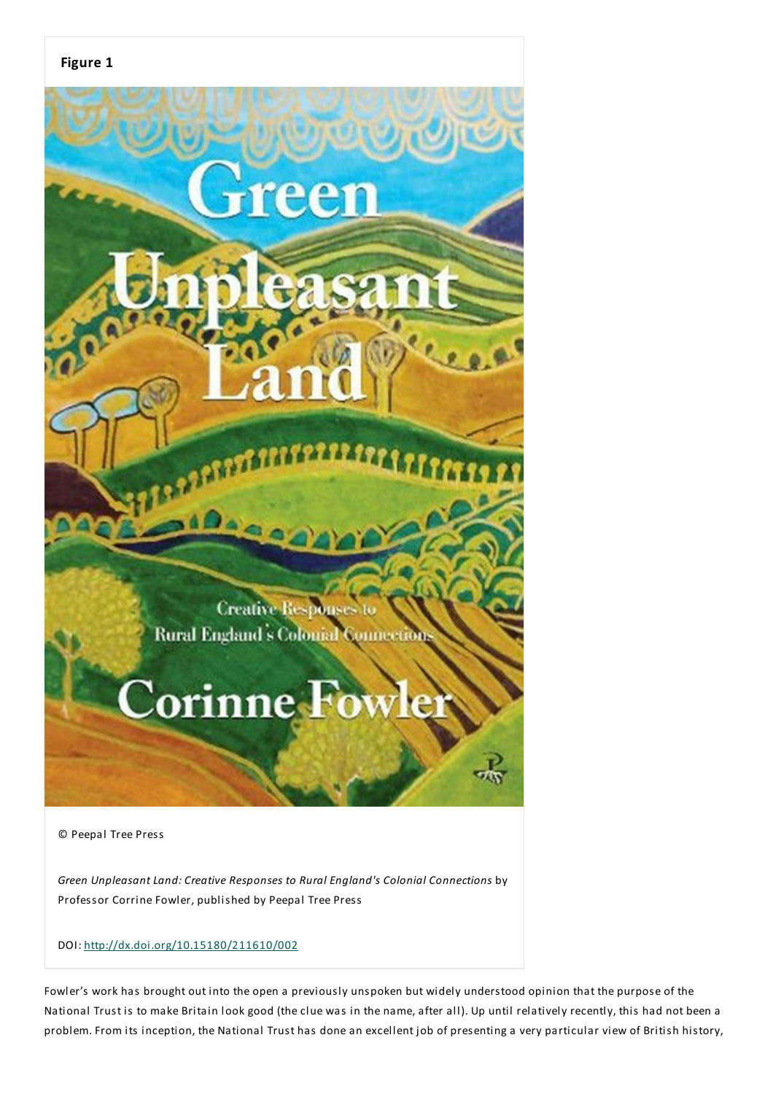

© Peepal Tree Press

*Green Unpleasant Land: Creative Responses to Rural England's Colonial Connections* by Professor Corrine Fowler, published by Peepal Tree Press

#### DOI: http://dx.doi.org/10.15180/211610/002

Fowler's work has brought out into the open a previously unspoken but widely understood opinion that the purpose of the National Trust is to make Britain look good (the clue was in the name, after all). Up until relatively recently, this had not been a problem. From its inception, the National Trust has done an excellent job of presenting a very particular view of British history,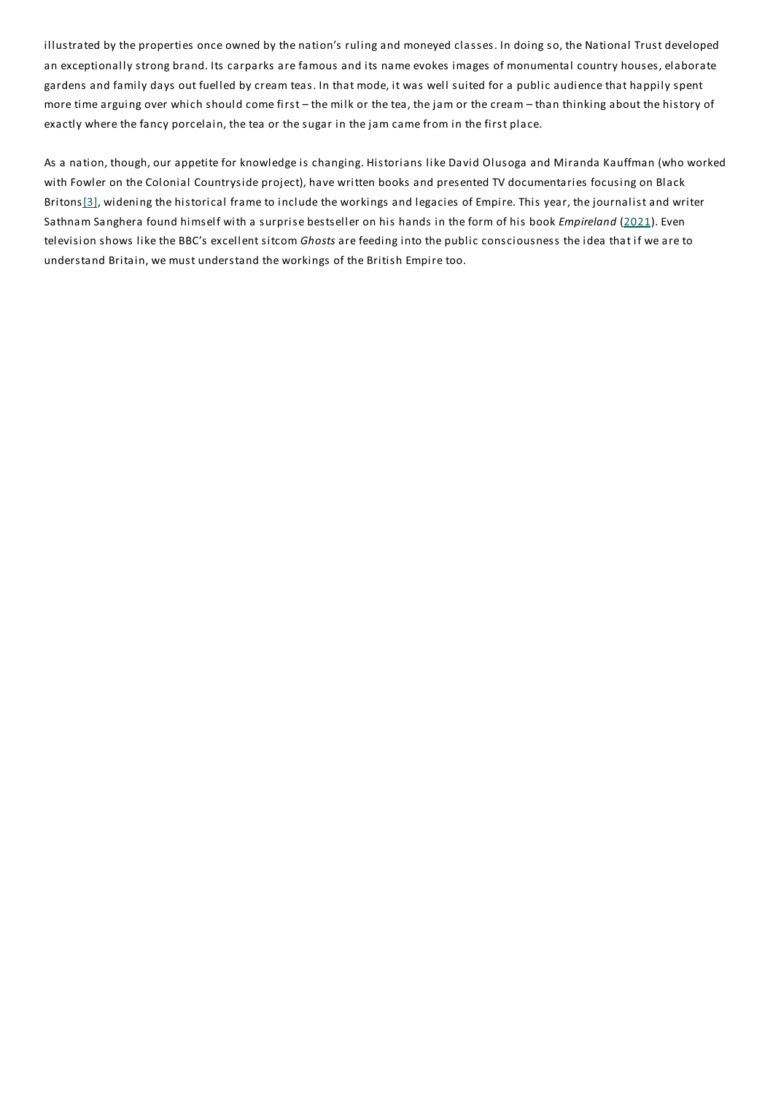illustrated by the properties once owned by the nation's ruling and moneyed classes. In doing so, the National Trust developed an exceptionally strong brand. Its carparks are famous and its name evokes images of monumental country houses, elaborate gardens and family days out fuelled by cream teas. In that mode, it was well suited for a public audience that happily spent more time arguing over which should come first – the milk or the tea, the jam or the cream – than thinking about the history of exactly where the fancy porcelain, the tea or the sugar in the jam came from in the first place.

As a nation, though, our appetite for knowledge is changing. Historians like David Olusoga and Miranda Kauffman (who worked with Fowler on the Colonial Countryside project), have written books and presented TV documentaries focusing on Black Britons[3], widening the historical frame to include the workings and legacies of Empire. This year, the journalist and writer Sathnam Sanghera found himself with a surprise bestseller on his hands in the form of his book *Empireland* (2021). Even television shows like the BBC's excellent sitcom *Ghosts* are feeding into the public consciousness the idea that if we are to understand Britain, we must understand the workings of the British Empire too.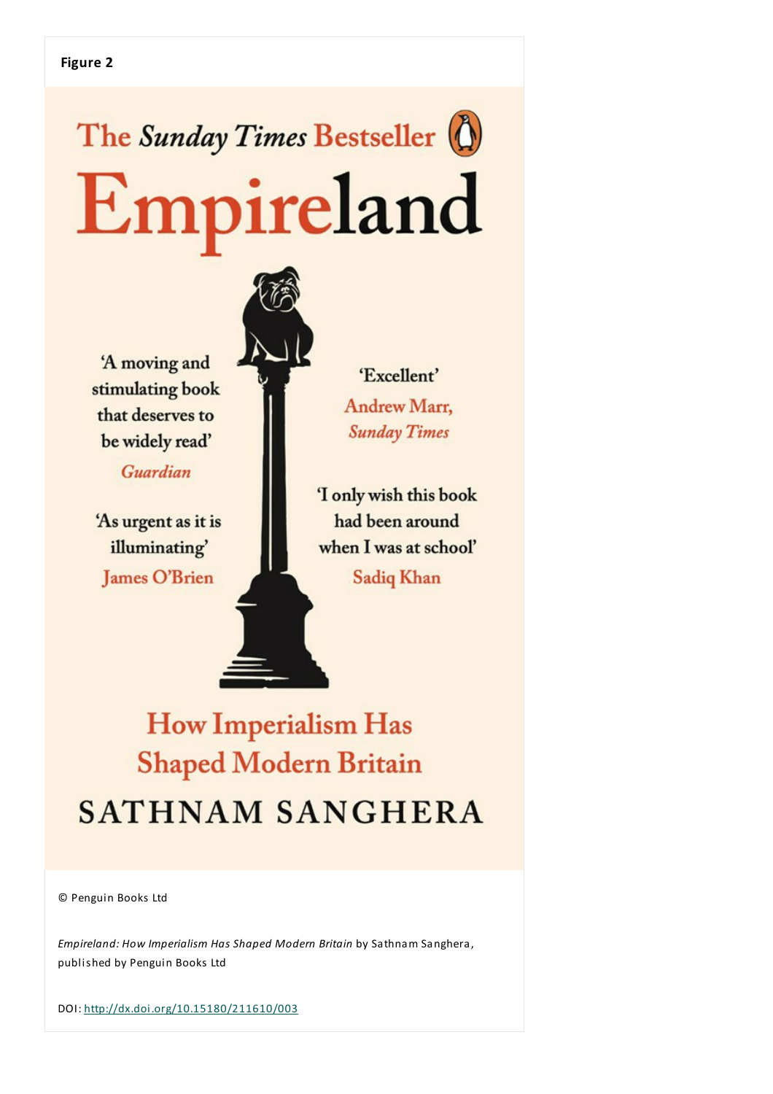# The Sunday Times Bestseller (1) Empireland

'A moving and stimulating book that deserves to be widely read'

Guardian

'As urgent as it is illuminating' **James O'Brien** 



'Excellent' Andrew Marr, **Sunday Times** 

'I only wish this book had been around when I was at school' **Sadiq Khan** 

**How Imperialism Has Shaped Modern Britain SATHNAM SANGHERA** 

© Penguin Books Ltd

*Empireland: How Imperialism Has Shaped Modern Britain* by Sathnam Sanghera, published by Penguin Books Ltd

DOI: http://dx.doi.org/10.15180/211610/003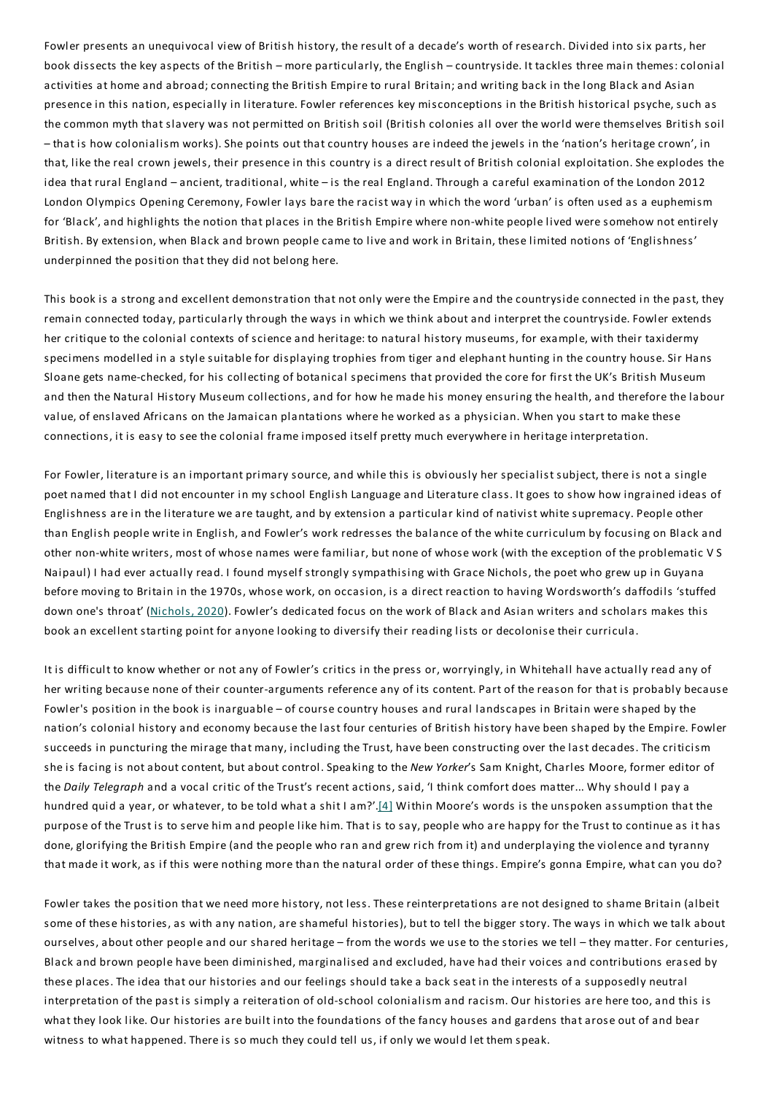Fowler presents an unequivocal view of British history, the result of a decade's worth of research. Divided into six parts, her book dissects the key aspects of the British – more particularly, the English – countryside. It tackles three main themes: colonial activities at home and abroad; connecting the British Empire to rural Britain; and writing back in the long Black and Asian presence in this nation, especially in literature. Fowler references key misconceptions in the British historical psyche, such as the common myth that slavery was not permitted on British soil (British colonies all over the world were themselves British soil – that is how colonialism works). She points out that country houses are indeed the jewels in the 'nation's heritage crown', in that, like the real crown jewels, their presence in this country is a direct result of British colonial exploitation. She explodes the idea that rural England – ancient, traditional, white – is the real England.Through a careful examination of the London 2012 London Olympics Opening Ceremony, Fowler lays bare the racist way in which the word 'urban' is often used as a euphemism for 'Black', and highlights the notion that places in the British Empire where non-white people lived were somehow not entirely British. By extension, when Black and brown people came to live and work in Britain, these limited notions of 'Englishness' underpinned the position that they did not belong here.

This book is a strong and excellent demonstration that not only were the Empire and the countryside connected in the past, they remain connected today, particularly through the ways in which we think about and interpret the countryside. Fowler extends her critique to the colonial contexts of science and heritage: to natural history museums, for example, with their taxidermy specimens modelled in a style suitable for displaying trophies from tiger and elephant hunting in the country house. Sir Hans Sloane gets name-checked, for his collecting of botanical specimens that provided the core for first the UK's British Museum and then the Natural History Museum collections, and for how he made his money ensuring the health, and therefore the labour value, of enslaved Africans on the Jamaican plantations where he worked as a physician. When you start to make these connections, it is easy to see the colonial frame imposed itself pretty much everywhere in heritage interpretation.

For Fowler, literature is an important primary source, and while this is obviously her specialist subject, there is not a single poet named that I did not encounter in my school English Language and Literature class. It goes to show how ingrained ideas of Englishness are in the literature we are taught, and by extension a particular kind of nativist white supremacy. People other than English people write in English, and Fowler's work redresses the balance of the white curriculum by focusing on Black and other non-white writers, most of whose names were familiar, but none of whose work (with the exception of the problematic V S Naipaul) I had ever actually read. I found myself strongly sympathising with Grace Nichols, the poet who grew up in Guyana before moving to Britain in the 1970s, whose work, on occasion, is a direct reaction to having Wordsworth's daffodils 'stuffed down one's throat' (Nichols, 2020). Fowler's dedicated focus on the work of Black and Asian writers and scholars makes this book an excellent starting point for anyone looking to diversify their reading lists or decolonise their curricula.

It is difficult to know whether or not any of Fowler's critics in the press or, worryingly, in Whitehall have actually read any of her writing because none of their counter-arguments reference any of its content. Part of the reason for that is probably because Fowler's position in the book is inarguable – of course country houses and rural landscapes in Britain were shaped by the nation's colonial history and economy because the last four centuries of British history have been shaped by the Empire. Fowler succeeds in puncturing the mirage that many, including the Trust, have been constructing over the last decades. The criticism she is facing is not about content, but about control. Speaking to the *New Yorker*'s Sam Knight, Charles Moore, former editor of the *Daily Telegraph* and a vocal critic of the Trust's recent actions, said, 'I think comfort does matter... Why should I pay a hundred quid a year, or whatever, to be told what a shit I am?'.[4] Within Moore's words is the unspoken assumption that the purpose of the Trust is to serve him and people like him.That is to say, people who are happy for the Trust to continue as it has done, glorifying the British Empire (and the people who ran and grew rich from it) and underplaying the violence and tyranny that made it work, as if this were nothing more than the natural order of these things. Empire's gonna Empire, what can you do?

Fowler takes the position that we need more history, not less. These reinterpretations are not designed to shame Britain (albeit some of these histories, as with any nation, are shameful histories), but to tell the bigger story.The ways in which we talk about ourselves, about other people and our shared heritage – from the words we use to the stories we tell – they matter. For centuries, Black and brown people have been diminished, marginalised and excluded, have had their voices and contributions erased by these places.The idea that our histories and our feelings should take a back seat in the interests of a supposedly neutral interpretation of the past is simply a reiteration of old-school colonialism and racism. Our histories are here too, and this is what they look like. Our histories are built into the foundations of the fancy houses and gardens that arose out of and bear witness to what happened. There is so much they could tell us, if only we would let them speak.